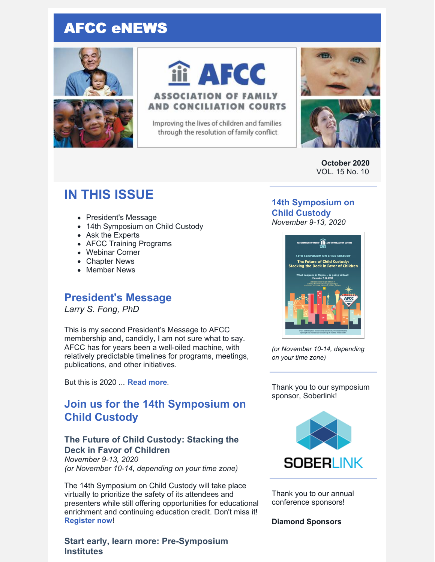# AFCC eNEWS





# iii AFCC

#### **ASSOCIATION OF FAMILY AND CONCILIATION COURTS**

Improving the lives of children and families through the resolution of family conflict



**October 2020** VOL. 15 No. 10

# **IN THIS ISSUE**

- President's Message
- 14th Symposium on Child Custody
- Ask the Experts
- AFCC Training Programs
- Webinar Corner
- Chapter News
- Member News

# **President's Message**

*Larry S. Fong, PhD*

This is my second President's Message to AFCC membership and, candidly, I am not sure what to say. AFCC has for years been a well-oiled machine, with relatively predictable timelines for programs, meetings, publications, and other initiatives.

But this is 2020 ... **[Read](https://files.constantcontact.com/6beb60a3701/60f93c4e-2d34-4287-9785-24a17a31228e.pdf) more**.

# **Join us for the 14th Symposium on Child Custody**

#### **The Future of Child Custody: Stacking the Deck in Favor of Children**

*November 9-13, 2020 (or November 10-14, depending on your time zone)*

The 14th Symposium on Child Custody will take place virtually to prioritize the safety of its attendees and presenters while still offering opportunities for educational enrichment and continuing education credit. Don't miss it! **[Register](https://www.afccnet.org/14symposium/) now**!

**Start early, learn more: Pre-Symposium Institutes**

#### **14th [Symposium](https://www.afccnet.org/Conferences-Training/AFCC-Conferences/ctl/ViewConference/ConferenceID/284/mid/615) on Child Custody** *November 9-13, 2020*



*(or November 10-14, depending on your time zone)*

Thank you to our symposium sponsor, Soberlink!



Thank you to our annual conference sponsors!

**Diamond Sponsors**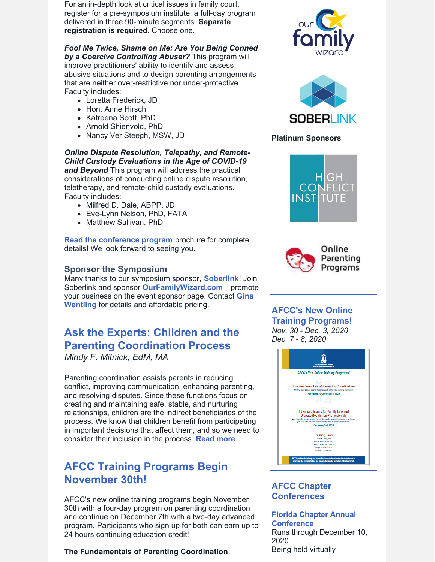For an in-depth look at critical issues in family court, register for a pre-symposium institute, a full-day program delivered in three 90-minute segments. **Separate registration is required**. Choose one.

#### *Fool Me Twice, Shame on Me: Are You Being Conned*

*by a Coercive Controlling Abuser?* This program will improve practitioners' ability to identify and assess abusive situations and to design parenting arrangements that are neither over-restrictive nor under-protective. Faculty includes:

- Loretta Frederick, JD
- Hon. Anne Hirsch
- Katreena Scott, PhD
- Arnold Shienvold, PhD
- Nancy Ver Steegh, MSW, JD

*Online Dispute Resolution, Telepathy, and Remote-Child Custody Evaluations in the Age of COVID-19 and Beyond* This program will address the practical considerations of conducting online dispute resolution, teletherapy, and remote-child custody evaluations. Faculty includes:

- Milfred D. Dale, ABPP, JD
- Eve-Lynn Nelson, PhD, FATA
- Matthew Sullivan, PhD

**Read the [conference](https://www.afccnet.org/Portals/0/Conferences/Las Vegas Brochure Online Version.pdf) program** brochure for complete details! We look forward to seeing you.

#### **Sponsor the Symposium**

Many thanks to our symposium sponsor, **[Soberlink](https://www.soberlink.com/)**! Join Soberlink and sponsor **[OurFamilyWizard.com](https://www.ourfamilywizard.com/)**—promote your business on the event sponsor page. Contact **Gina Wentling** for details and [affordable](mailto:gwentling@afccnet.org) pricing.

# **Ask the Experts: Children and the Parenting Coordination Process**

*Mindy F. Mitnick, EdM, MA*

Parenting coordination assists parents in reducing conflict, improving communication, enhancing parenting, and resolving disputes. Since these functions focus on creating and maintaining safe, stable, and nurturing relationships, children are the indirect beneficiaries of the process. We know that children benefit from participating in important decisions that affect them, and so we need to consider their inclusion in the process. **[Read](https://files.constantcontact.com/6beb60a3701/d97330e3-b1bd-4c6a-8707-ed16b617afb2.pdf) more**.

# **AFCC Training Programs Begin November 30th!**

AFCC's new online training programs begin November 30th with a four-day program on parenting coordination and continue on December 7th with a two-day advanced program. Participants who sign up for both can earn up to 24 hours continuing education credit!

#### **The Fundamentals of Parenting Coordination**





#### **Platinum Sponsors**





#### **AFCC's New Online Training Programs!**

*Nov. 30 - Dec. 3, 2020 Dec. 7 - 8, 2020*



#### **AFCC Chapter Conferences**

**Florida Chapter Annual [Conference](https://flafcc.org/event/2020-flafcc-annual-conference/)** Runs through December 10, 2020 Being held virtually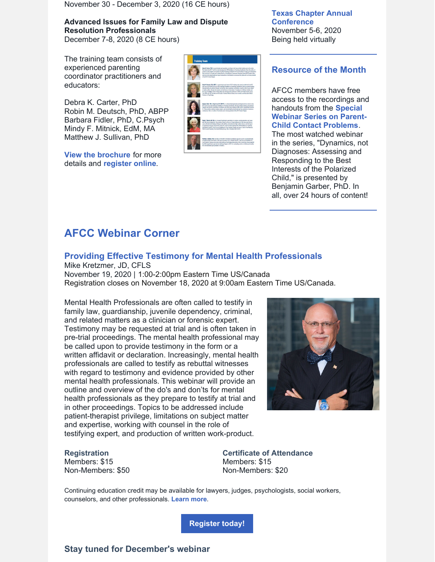November 30 - December 3, 2020 (16 CE hours)

#### **Advanced Issues for Family Law and Dispute Resolution Professionals**

December 7-8, 2020 (8 CE hours)

The training team consists of experienced parenting coordinator practitioners and educators:

Debra K. Carter, PhD Robin M. Deutsch, PhD, ABPP Barbara Fidler, PhD, C.Psych Mindy F. Mitnick, EdM, MA Matthew J. Sullivan, PhD

**View the [brochure](https://www.afccnet.org/Portals/0/AFCC Training 2020-12 - Final.pdf)** for more details and **[register](https://www.afccnet.org/Conferences-Training/AFCC-Training) online**.



**Texas Chapter Annual [Conference](https://texasafcc.org/2020-txafcc-conference)** November 5-6, 2020 Being held virtually

#### **Resource of the Month**

AFCC members have free access to the recordings and handouts from the **Special Webinar Series on Parent-Child Contact [Problems](https://www.afccnet.org/Conferences-Training/AFCC-Webinars/Recordings-of-AFCC-Webinar-Series-on-Parent-Child-Contact-Problems)**. The most watched webinar in the series, "Dynamics, not Diagnoses: Assessing and Responding to the Best Interests of the Polarized Child," is presented by Benjamin Garber, PhD. In all, over 24 hours of content!

# **AFCC Webinar Corner**

#### **Providing Effective Testimony for Mental Health [Professionals](https://www.afccnet.org/Conferences-Training/Webinars/ctl/ViewConference/ConferenceID/356/mid/772)**

Mike Kretzmer, JD, CFLS November 19, 2020 | 1:00-2:00pm Eastern Time US/Canada Registration closes on November 18, 2020 at 9:00am Eastern Time US/Canada.

Mental Health Professionals are often called to testify in family law, guardianship, juvenile dependency, criminal, and related matters as a clinician or forensic expert. Testimony may be requested at trial and is often taken in pre-trial proceedings. The mental health professional may be called upon to provide testimony in the form or a written affidavit or declaration. Increasingly, mental health professionals are called to testify as rebuttal witnesses with regard to testimony and evidence provided by other mental health professionals. This webinar will provide an outline and overview of the do's and don'ts for mental health professionals as they prepare to testify at trial and in other proceedings. Topics to be addressed include patient-therapist privilege, limitations on subject matter and expertise, working with counsel in the role of testifying expert, and production of written work-product.



#### **Registration**

Members: \$15 Non-Members: \$50 **Certificate of Attendance** Members: \$15 Non-Members: \$20

Continuing education credit may be available for lawyers, judges, psychologists, social workers, counselors, and other professionals. **[Learn](https://www.afccnet.org/Conferences-Training/Webinars/ctl/ViewConference/ConferenceID/356/mid/772) more**.

**[Register](https://www.afccnet.org/Conferences-Training/Webinars/ctl/ViewConference/ConferenceID/356/mid/772) today!**

**Stay tuned for December's webinar**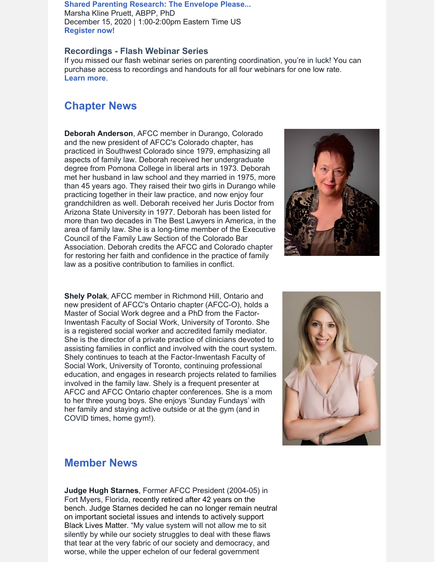#### **Shared Parenting [Research:](https://www.afccnet.org/Conferences-Training/Webinars/ctl/ViewConference/ConferenceID/358/mid/772) The Envelope Please...** Marsha Kline Pruett, ABPP, PhD December 15, 2020 | 1:00-2:00pm Eastern Time US **[Register](https://www.afccnet.org/Conferences-Training/Webinars/ctl/ViewConference/ConferenceID/358/mid/772) now!**

#### **Recordings - Flash Webinar Series**

If you missed our flash webinar series on parenting coordination, you're in luck! You can purchase access to recordings and handouts for all four webinars for one low rate. **[Learn](https://www.afccnet.org/Conferences-Training/AFCC-Webinars/Flash-Webinar-Series-on-Parenting-Coordination) more**.

### **Chapter News**

**Deborah Anderson**, AFCC member in Durango, Colorado and the new president of AFCC's Colorado chapter, has practiced in Southwest Colorado since 1979, emphasizing all aspects of family law. Deborah received her undergraduate degree from Pomona College in liberal arts in 1973. Deborah met her husband in law school and they married in 1975, more than 45 years ago. They raised their two girls in Durango while practicing together in their law practice, and now enjoy four grandchildren as well. Deborah received her Juris Doctor from Arizona State University in 1977. Deborah has been listed for more than two decades in The Best Lawyers in America, in the area of family law. She is a long-time member of the Executive Council of the Family Law Section of the Colorado Bar Association. Deborah credits the AFCC and Colorado chapter for restoring her faith and confidence in the practice of family law as a positive contribution to families in conflict.



**Shely Polak**, AFCC member in Richmond Hill, Ontario and new president of AFCC's Ontario chapter (AFCC-O), holds a Master of Social Work degree and a PhD from the Factor-Inwentash Faculty of Social Work, University of Toronto. She is a registered social worker and accredited family mediator. She is the director of a private practice of clinicians devoted to assisting families in conflict and involved with the court system. Shely continues to teach at the Factor-Inwentash Faculty of Social Work, University of Toronto, continuing professional education, and engages in research projects related to families involved in the family law. Shely is a frequent presenter at AFCC and AFCC Ontario chapter conferences. She is a mom to her three young boys. She enjoys 'Sunday Fundays' with her family and staying active outside or at the gym (and in COVID times, home gym!).



#### **Member News**

**Judge Hugh Starnes**, Former AFCC President (2004-05) in Fort Myers, Florida, recently retired after 42 years on the bench. Judge Starnes decided he can no longer remain neutral on important societal issues and intends to actively support Black Lives Matter. "My value system will not allow me to sit silently by while our society struggles to deal with these flaws that tear at the very fabric of our society and democracy, and worse, while the upper echelon of our federal government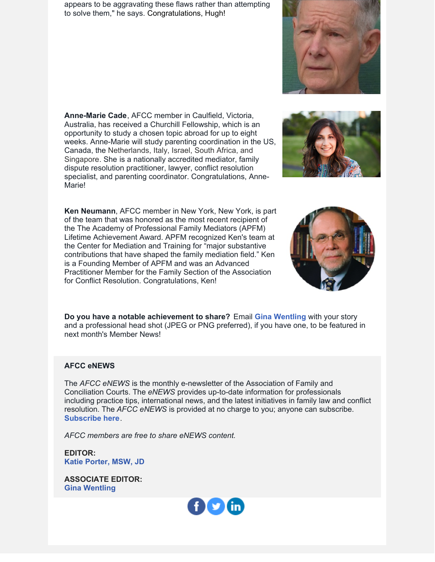appears to be aggravating these flaws rather than attempting to solve them," he says. Congratulations, Hugh!

**Anne-Marie Cade**, AFCC member in Caulfield, Victoria, Australia, has received a Churchill Fellowship, which is an opportunity to study a chosen topic abroad for up to eight weeks. Anne-Marie will study parenting coordination in the US, Canada, the Netherlands, Italy, Israel, South Africa, and Singapore. She is a nationally accredited mediator, family dispute resolution practitioner, lawyer, conflict resolution specialist, and parenting coordinator. Congratulations, Anne-Marie!

**Ken Neumann**, AFCC member in New York, New York, is part of the team that was honored as the most recent recipient of the The Academy of Professional Family Mediators (APFM) Lifetime Achievement Award. APFM recognized Ken's team at the Center for Mediation and Training for "major substantive contributions that have shaped the family mediation field." Ken is a Founding Member of APFM and was an Advanced Practitioner Member for the Family Section of the Association for Conflict Resolution. Congratulations, Ken!

**Do you have a notable achievement to share?** Email **Gina [Wentling](mailto:gwentling@afccnet.org)** with your story and a professional head shot (JPEG or PNG preferred), if you have one, to be featured in next month's Member News!

#### **AFCC eNEWS**

The *AFCC eNEWS* is the monthly e-newsletter of the Association of Family and Conciliation Courts. The *eNEWS* provides up-to-date information for professionals including practice tips, international news, and the latest initiatives in family law and conflict resolution. The *AFCC eNEWS* is provided at no charge to you; anyone can subscribe. **[Subscribe](http://www.afccnet.org/Resource-Center/AFCC-eNEWS) here**.

*AFCC members are free to share eNEWS content.*

**EDITOR: Katie [Porter,](mailto:kporter@afccnet.org) MSW, JD**

**ASSOCIATE EDITOR: Gina [Wentling](mailto:gwentling@afccnet.org)**







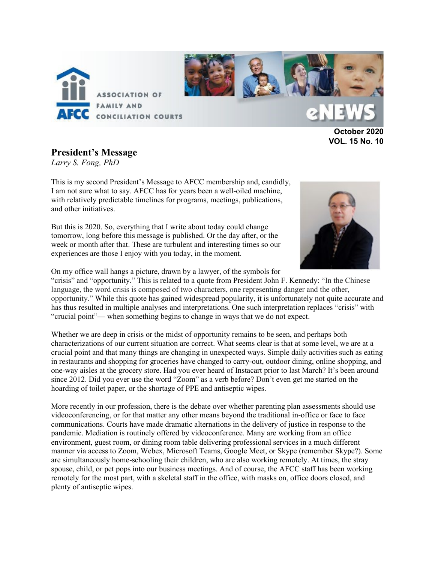

**October 2020 VOL. 15 No. 10** 

#### **President's Message**

*Larry S. Fong, PhD*

This is my second President's Message to AFCC membership and, candidly, I am not sure what to say. AFCC has for years been a well-oiled machine, with relatively predictable timelines for programs, meetings, publications, and other initiatives.

But this is 2020. So, everything that I write about today could change tomorrow, long before this message is published. Or the day after, or the week or month after that. These are turbulent and interesting times so our experiences are those I enjoy with you today, in the moment.



On my office wall hangs a picture, drawn by a lawyer, of the symbols for

"crisis" and "opportunity." This is related to a quote from President John F. Kennedy: "In the Chinese language, the word crisis is composed of two characters, one representing danger and the other, opportunity." While this quote has gained widespread popularity, it is unfortunately not quite accurate and has thus resulted in multiple analyses and interpretations. One such interpretation replaces "crisis" with "crucial point"— when something begins to change in ways that we do not expect.

Whether we are deep in crisis or the midst of opportunity remains to be seen, and perhaps both characterizations of our current situation are correct. What seems clear is that at some level, we are at a crucial point and that many things are changing in unexpected ways. Simple daily activities such as eating in restaurants and shopping for groceries have changed to carry-out, outdoor dining, online shopping, and one-way aisles at the grocery store. Had you ever heard of Instacart prior to last March? It's been around since 2012. Did you ever use the word "Zoom" as a verb before? Don't even get me started on the hoarding of toilet paper, or the shortage of PPE and antiseptic wipes.

More recently in our profession, there is the debate over whether parenting plan assessments should use videoconferencing, or for that matter any other means beyond the traditional in-office or face to face communications. Courts have made dramatic alternations in the delivery of justice in response to the pandemic. Mediation is routinely offered by videoconference. Many are working from an office environment, guest room, or dining room table delivering professional services in a much different manner via access to Zoom, Webex, Microsoft Teams, Google Meet, or Skype (remember Skype?). Some are simultaneously home-schooling their children, who are also working remotely. At times, the stray spouse, child, or pet pops into our business meetings. And of course, the AFCC staff has been working remotely for the most part, with a skeletal staff in the office, with masks on, office doors closed, and plenty of antiseptic wipes.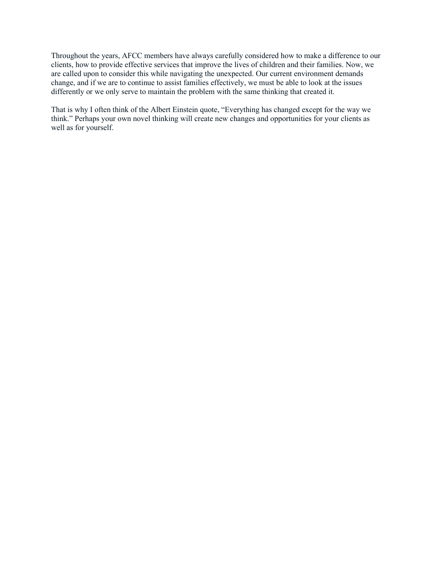Throughout the years, AFCC members have always carefully considered how to make a difference to our clients, how to provide effective services that improve the lives of children and their families. Now, we are called upon to consider this while navigating the unexpected. Our current environment demands change, and if we are to continue to assist families effectively, we must be able to look at the issues differently or we only serve to maintain the problem with the same thinking that created it.

That is why I often think of the Albert Einstein quote, "Everything has changed except for the way we think." Perhaps your own novel thinking will create new changes and opportunities for your clients as well as for yourself.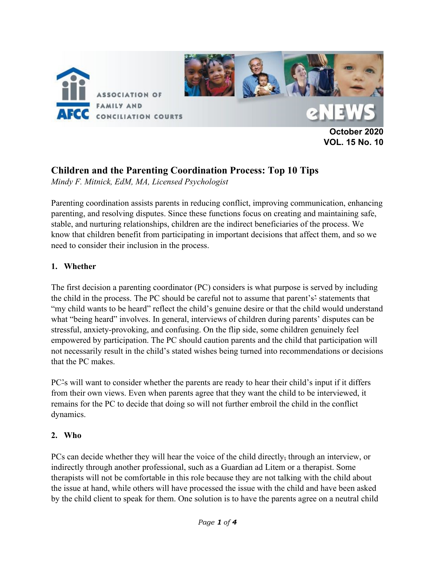

**VOL. 15 No. 10** 

# **Children and the Parenting Coordination Process: Top 10 Tips**

*Mindy F. Mitnick, EdM, MA, Licensed Psychologist* 

Parenting coordination assists parents in reducing conflict, improving communication, enhancing parenting, and resolving disputes. Since these functions focus on creating and maintaining safe, stable, and nurturing relationships, children are the indirect beneficiaries of the process. We know that children benefit from participating in important decisions that affect them, and so we need to consider their inclusion in the process.

#### **1. Whether**

The first decision a parenting coordinator (PC) considers is what purpose is served by including the child in the process. The PC should be careful not to assume that parent's' statements that "my child wants to be heard" reflect the child's genuine desire or that the child would understand what "being heard" involves. In general, interviews of children during parents' disputes can be stressful, anxiety-provoking, and confusing. On the flip side, some children genuinely feel empowered by participation. The PC should caution parents and the child that participation will not necessarily result in the child's stated wishes being turned into recommendations or decisions that the PC makes.

PC's will want to consider whether the parents are ready to hear their child's input if it differs from their own views. Even when parents agree that they want the child to be interviewed, it remains for the PC to decide that doing so will not further embroil the child in the conflict dynamics.

#### **2. Who**

PCs can decide whether they will hear the voice of the child directly, through an interview, or indirectly through another professional, such as a Guardian ad Litem or a therapist. Some therapists will not be comfortable in this role because they are not talking with the child about the issue at hand, while others will have processed the issue with the child and have been asked by the child client to speak for them. One solution is to have the parents agree on a neutral child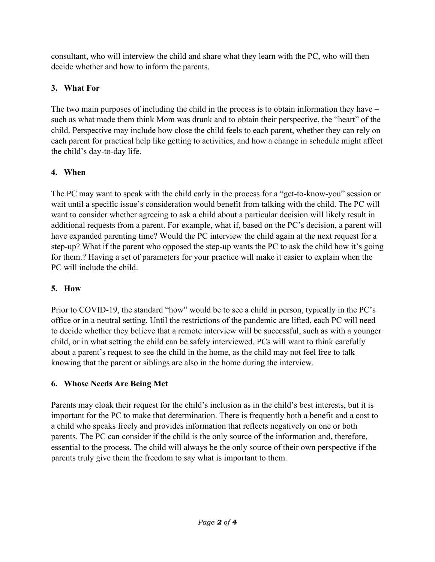consultant, who will interview the child and share what they learn with the PC, who will then decide whether and how to inform the parents.

# **3. What For**

The two main purposes of including the child in the process is to obtain information they have – such as what made them think Mom was drunk and to obtain their perspective, the "heart" of the child. Perspective may include how close the child feels to each parent, whether they can rely on each parent for practical help like getting to activities, and how a change in schedule might affect the child's day-to-day life.

# **4. When**

The PC may want to speak with the child early in the process for a "get-to-know-you" session or wait until a specific issue's consideration would benefit from talking with the child. The PC will want to consider whether agreeing to ask a child about a particular decision will likely result in additional requests from a parent. For example, what if, based on the PC's decision, a parent will have expanded parenting time? Would the PC interview the child again at the next request for a step-up? What if the parent who opposed the step-up wants the PC to ask the child how it's going for them.? Having a set of parameters for your practice will make it easier to explain when the PC will include the child.

## **5. How**

Prior to COVID-19, the standard "how" would be to see a child in person, typically in the PC's office or in a neutral setting. Until the restrictions of the pandemic are lifted, each PC will need to decide whether they believe that a remote interview will be successful, such as with a younger child, or in what setting the child can be safely interviewed. PCs will want to think carefully about a parent's request to see the child in the home, as the child may not feel free to talk knowing that the parent or siblings are also in the home during the interview.

# **6. Whose Needs Are Being Met**

Parents may cloak their request for the child's inclusion as in the child's best interests, but it is important for the PC to make that determination. There is frequently both a benefit and a cost to a child who speaks freely and provides information that reflects negatively on one or both parents. The PC can consider if the child is the only source of the information and, therefore, essential to the process. The child will always be the only source of their own perspective if the parents truly give them the freedom to say what is important to them.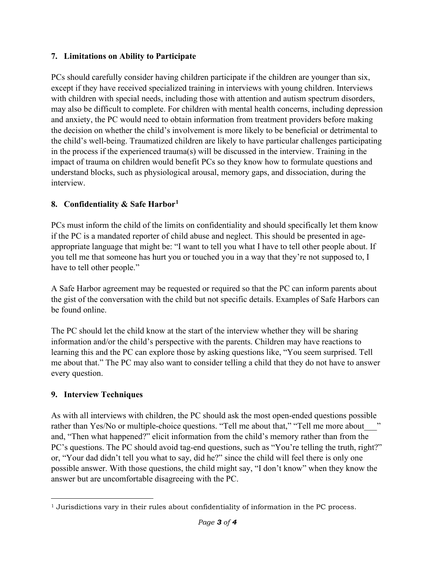#### **7. Limitations on Ability to Participate**

PCs should carefully consider having children participate if the children are younger than six, except if they have received specialized training in interviews with young children. Interviews with children with special needs, including those with attention and autism spectrum disorders, may also be difficult to complete. For children with mental health concerns, including depression and anxiety, the PC would need to obtain information from treatment providers before making the decision on whether the child's involvement is more likely to be beneficial or detrimental to the child's well-being. Traumatized children are likely to have particular challenges participating in the process if the experienced trauma(s) will be discussed in the interview. Training in the impact of trauma on children would benefit PCs so they know how to formulate questions and understand blocks, such as physiological arousal, memory gaps, and dissociation, during the interview.

## **8. Confidentiality & Safe Harbo[r1](#page-9-0)**

PCs must inform the child of the limits on confidentiality and should specifically let them know if the PC is a mandated reporter of child abuse and neglect. This should be presented in ageappropriate language that might be: "I want to tell you what I have to tell other people about. If you tell me that someone has hurt you or touched you in a way that they're not supposed to, I have to tell other people."

A Safe Harbor agreement may be requested or required so that the PC can inform parents about the gist of the conversation with the child but not specific details. Examples of Safe Harbors can be found online.

The PC should let the child know at the start of the interview whether they will be sharing information and/or the child's perspective with the parents. Children may have reactions to learning this and the PC can explore those by asking questions like, "You seem surprised. Tell me about that." The PC may also want to consider telling a child that they do not have to answer every question.

## **9. Interview Techniques**

As with all interviews with children, the PC should ask the most open-ended questions possible rather than Yes/No or multiple-choice questions. "Tell me about that," "Tell me more about with and, "Then what happened?" elicit information from the child's memory rather than from the PC's questions. The PC should avoid tag-end questions, such as "You're telling the truth, right?" or, "Your dad didn't tell you what to say, did he?" since the child will feel there is only one possible answer. With those questions, the child might say, "I don't know" when they know the answer but are uncomfortable disagreeing with the PC.

<span id="page-9-0"></span><sup>&</sup>lt;sup>1</sup> Jurisdictions vary in their rules about confidentiality of information in the PC process.